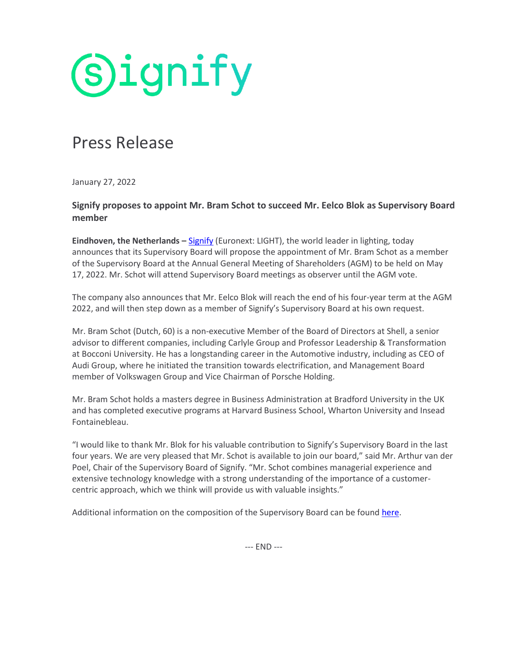**Signify** 

## Press Release

January 27, 2022

## **Signify proposes to appoint Mr. Bram Schot to succeed Mr. Eelco Blok as Supervisory Board member**

**Eindhoven, the Netherlands –** [Signify](https://www.signify.com/) (Euronext: LIGHT), the world leader in lighting, today announces that its Supervisory Board will propose the appointment of Mr. Bram Schot as a member of the Supervisory Board at the Annual General Meeting of Shareholders (AGM) to be held on May 17, 2022. Mr. Schot will attend Supervisory Board meetings as observer until the AGM vote.

The company also announces that Mr. Eelco Blok will reach the end of his four-year term at the AGM 2022, and will then step down as a member of Signify's Supervisory Board at his own request.

Mr. Bram Schot (Dutch, 60) is a non-executive Member of the Board of Directors at Shell, a senior advisor to different companies, including Carlyle Group and Professor Leadership & Transformation at Bocconi University. He has a longstanding career in the Automotive industry, including as CEO of Audi Group, where he initiated the transition towards electrification, and Management Board member of Volkswagen Group and Vice Chairman of Porsche Holding.

Mr. Bram Schot holds a masters degree in Business Administration at Bradford University in the UK and has completed executive programs at Harvard Business School, Wharton University and Insead Fontainebleau.

"I would like to thank Mr. Blok for his valuable contribution to Signify's Supervisory Board in the last four years. We are very pleased that Mr. Schot is available to join our board," said Mr. Arthur van der Poel, Chair of the Supervisory Board of Signify. "Mr. Schot combines managerial experience and extensive technology knowledge with a strong understanding of the importance of a customercentric approach, which we think will provide us with valuable insights."

Additional information on the composition of the Supervisory Board can be found [here.](https://www.signify.com/global/our-company/investors/governance/supervisory-board)

--- END ---